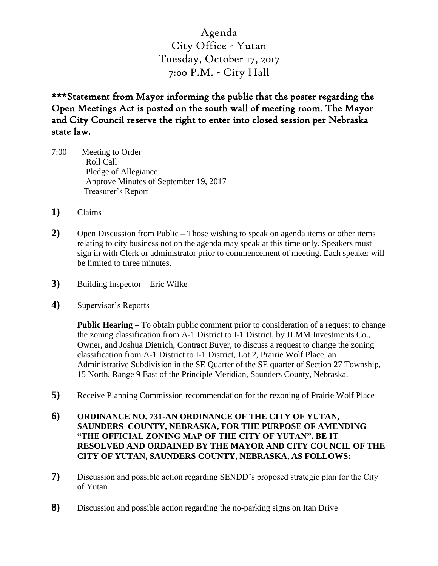Agenda City Office - Yutan Tuesday, October 17, 2017 7:00 P.M. - City Hall

\*\*\*Statement from Mayor informing the public that the poster regarding the Open Meetings Act is posted on the south wall of meeting room. The Mayor and City Council reserve the right to enter into closed session per Nebraska state law.

- 7:00 Meeting to Order Roll Call Pledge of Allegiance Approve Minutes of September 19, 2017 Treasurer's Report
- **1)** Claims
- **2)** Open Discussion from Public **–** Those wishing to speak on agenda items or other items relating to city business not on the agenda may speak at this time only. Speakers must sign in with Clerk or administrator prior to commencement of meeting. Each speaker will be limited to three minutes.
- **3)** Building Inspector—Eric Wilke
- **4)** Supervisor's Reports

**Public Hearing –** To obtain public comment prior to consideration of a request to change the zoning classification from A-1 District to I-1 District, by JLMM Investments Co., Owner, and Joshua Dietrich, Contract Buyer, to discuss a request to change the zoning classification from A-1 District to I-1 District, Lot 2, Prairie Wolf Place, an Administrative Subdivision in the SE Quarter of the SE quarter of Section 27 Township, 15 North, Range 9 East of the Principle Meridian, Saunders County, Nebraska.

- **5)** Receive Planning Commission recommendation for the rezoning of Prairie Wolf Place
- **6) ORDINANCE NO. 731-AN ORDINANCE OF THE CITY OF YUTAN, SAUNDERS COUNTY, NEBRASKA, FOR THE PURPOSE OF AMENDING "THE OFFICIAL ZONING MAP OF THE CITY OF YUTAN". BE IT RESOLVED AND ORDAINED BY THE MAYOR AND CITY COUNCIL OF THE CITY OF YUTAN, SAUNDERS COUNTY, NEBRASKA, AS FOLLOWS:**
- **7)** Discussion and possible action regarding SENDD's proposed strategic plan for the City of Yutan
- **8)** Discussion and possible action regarding the no-parking signs on Itan Drive